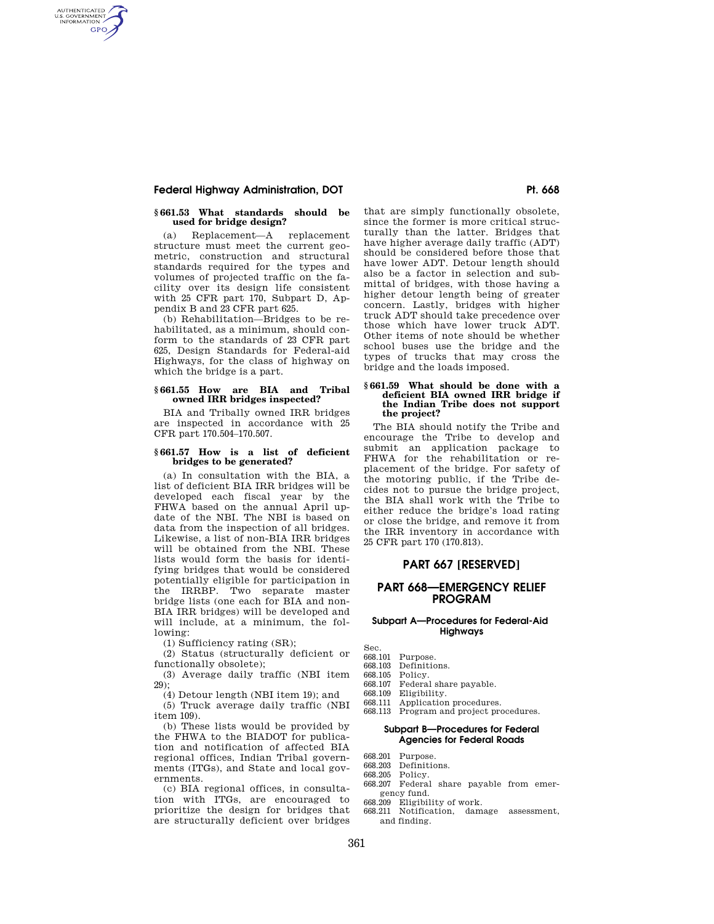# **Federal Highway Administration, DOT Pt. 668**

AUTHENTICATED<br>U.S. GOVERNMENT<br>INFORMATION **GPO** 

## **§ 661.53 What standards should be used for bridge design?**

(a) Replacement—A replacement structure must meet the current geometric, construction and structural standards required for the types and volumes of projected traffic on the facility over its design life consistent with 25 CFR part 170, Subpart D, Appendix B and 23 CFR part 625.

(b) Rehabilitation—Bridges to be rehabilitated, as a minimum, should conform to the standards of 23 CFR part 625, Design Standards for Federal-aid Highways, for the class of highway on which the bridge is a part.

## **§ 661.55 How are BIA and Tribal owned IRR bridges inspected?**

BIA and Tribally owned IRR bridges are inspected in accordance with 25 CFR part 170.504–170.507.

#### **§ 661.57 How is a list of deficient bridges to be generated?**

(a) In consultation with the BIA, a list of deficient BIA IRR bridges will be developed each fiscal year by the FHWA based on the annual April update of the NBI. The NBI is based on data from the inspection of all bridges. Likewise, a list of non-BIA IRR bridges will be obtained from the NBI. These lists would form the basis for identifying bridges that would be considered potentially eligible for participation in the IRRBP. Two separate master bridge lists (one each for BIA and non-BIA IRR bridges) will be developed and will include, at a minimum, the following:

(1) Sufficiency rating (SR);

(2) Status (structurally deficient or functionally obsolete);

(3) Average daily traffic (NBI item  $29$ ):

(4) Detour length (NBI item 19); and

(5) Truck average daily traffic (NBI item 109).

(b) These lists would be provided by the FHWA to the BIADOT for publication and notification of affected BIA regional offices, Indian Tribal governments (ITGs), and State and local governments.

(c) BIA regional offices, in consultation with ITGs, are encouraged to prioritize the design for bridges that are structurally deficient over bridges

that are simply functionally obsolete, since the former is more critical structurally than the latter. Bridges that have higher average daily traffic (ADT) should be considered before those that have lower ADT. Detour length should also be a factor in selection and submittal of bridges, with those having a higher detour length being of greater concern. Lastly, bridges with higher truck ADT should take precedence over those which have lower truck ADT. Other items of note should be whether school buses use the bridge and the types of trucks that may cross the bridge and the loads imposed.

### **§ 661.59 What should be done with a deficient BIA owned IRR bridge if the Indian Tribe does not support the project?**

The BIA should notify the Tribe and encourage the Tribe to develop and submit an application package to FHWA for the rehabilitation or replacement of the bridge. For safety of the motoring public, if the Tribe decides not to pursue the bridge project, the BIA shall work with the Tribe to either reduce the bridge's load rating or close the bridge, and remove it from the IRR inventory in accordance with 25 CFR part 170 (170.813).

# **PART 667 [RESERVED]**

# **PART 668—EMERGENCY RELIEF PROGRAM**

## **Subpart A—Procedures for Federal-Aid Highways**

- Sec. 668.101 Purpose.
- 
- 668.103 Definitions.<br>668.105 Policy. 668.105 Policy.<br>668.107 Federa
- Federal share payable.
- 668.109 Eligibility.<br>668.111 Application
- Application procedures.
- 668.113 Program and project procedures.

## **Subpart B—Procedures for Federal Agencies for Federal Roads**

- 668.201 Purpose.
- 668.203 Definitions.<br>668.205 Policy
- Policy. 668.207 Federal share payable from emer-
- gency fund.
- 668.209 Eligibility of work.
- 668.211 Notification, damage assessment, and finding.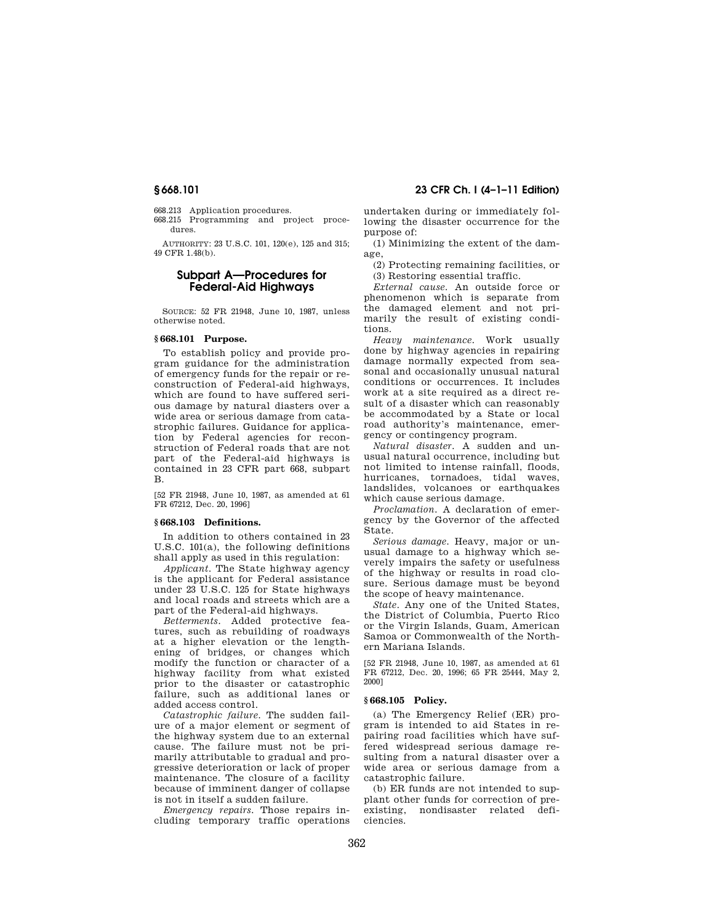668.213 Application procedures.

668.215 Programming and project procedures.

AUTHORITY: 23 U.S.C. 101, 120(e), 125 and 315; 49 CFR 1.48(b).

# **Subpart A—Procedures for Federal-Aid Highways**

SOURCE: 52 FR 21948, June 10, 1987, unless otherwise noted.

# **§ 668.101 Purpose.**

To establish policy and provide program guidance for the administration of emergency funds for the repair or reconstruction of Federal-aid highways, which are found to have suffered serious damage by natural diasters over a wide area or serious damage from catastrophic failures. Guidance for application by Federal agencies for reconstruction of Federal roads that are not part of the Federal-aid highways is contained in 23 CFR part 668, subpart B.

[52 FR 21948, June 10, 1987, as amended at 61 FR 67212, Dec. 20, 1996]

### **§ 668.103 Definitions.**

In addition to others contained in 23 U.S.C. 101(a), the following definitions shall apply as used in this regulation:

*Applicant.* The State highway agency is the applicant for Federal assistance under 23 U.S.C. 125 for State highways and local roads and streets which are a part of the Federal-aid highways.

*Betterments.* Added protective features, such as rebuilding of roadways at a higher elevation or the lengthening of bridges, or changes which modify the function or character of a highway facility from what existed prior to the disaster or catastrophic failure, such as additional lanes or added access control.

*Catastrophic failure.* The sudden failure of a major element or segment of the highway system due to an external cause. The failure must not be primarily attributable to gradual and progressive deterioration or lack of proper maintenance. The closure of a facility because of imminent danger of collapse is not in itself a sudden failure.

*Emergency repairs.* Those repairs including temporary traffic operations

**§ 668.101 23 CFR Ch. I (4–1–11 Edition)** 

undertaken during or immediately following the disaster occurrence for the purpose of:

(1) Minimizing the extent of the damage,

(2) Protecting remaining facilities, or (3) Restoring essential traffic.

*External cause.* An outside force or phenomenon which is separate from the damaged element and not primarily the result of existing conditions.

*Heavy maintenance.* Work usually done by highway agencies in repairing damage normally expected from seasonal and occasionally unusual natural conditions or occurrences. It includes work at a site required as a direct result of a disaster which can reasonably be accommodated by a State or local road authority's maintenance, emergency or contingency program.

*Natural disaster.* A sudden and unusual natural occurrence, including but not limited to intense rainfall, floods, hurricanes, tornadoes, tidal waves, landslides, volcanoes or earthquakes which cause serious damage.

*Proclamation.* A declaration of emergency by the Governor of the affected State.

*Serious damage.* Heavy, major or unusual damage to a highway which severely impairs the safety or usefulness of the highway or results in road closure. Serious damage must be beyond the scope of heavy maintenance.

*State.* Any one of the United States, the District of Columbia, Puerto Rico or the Virgin Islands, Guam, American Samoa or Commonwealth of the Northern Mariana Islands.

[52 FR 21948, June 10, 1987, as amended at 61 FR 67212, Dec. 20, 1996; 65 FR 25444, May 2, 2000]

## **§ 668.105 Policy.**

(a) The Emergency Relief (ER) program is intended to aid States in repairing road facilities which have suffered widespread serious damage resulting from a natural disaster over a wide area or serious damage from a catastrophic failure.

(b) ER funds are not intended to supplant other funds for correction of pre-<br>existing, nondisaster related definondisaster related deficiencies.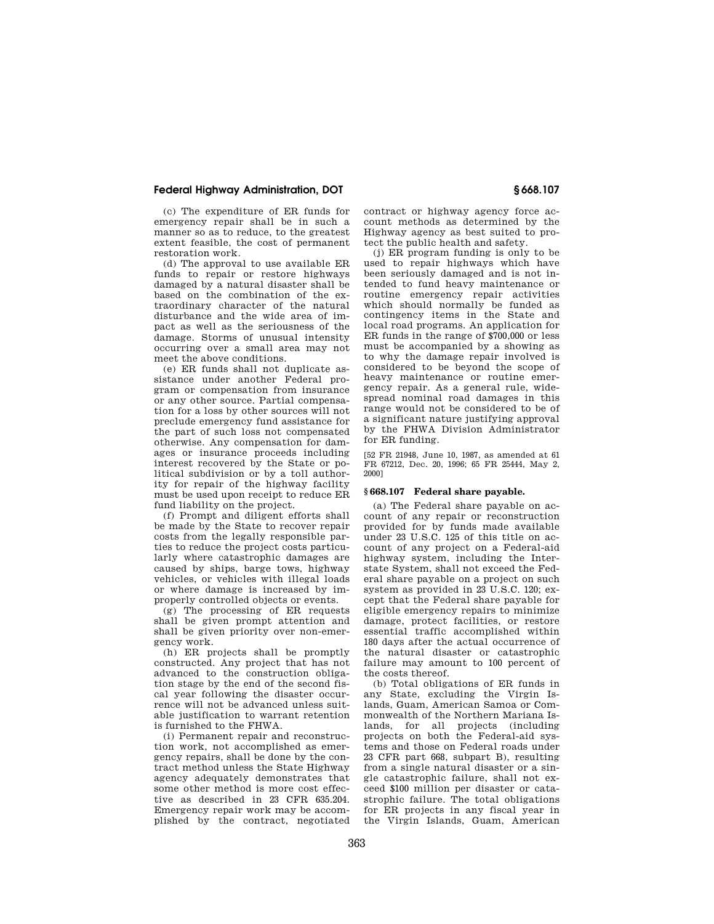# **Federal Highway Administration, DOT § 668.107**

(c) The expenditure of ER funds for emergency repair shall be in such a manner so as to reduce, to the greatest extent feasible, the cost of permanent restoration work.

(d) The approval to use available ER funds to repair or restore highways damaged by a natural disaster shall be based on the combination of the extraordinary character of the natural disturbance and the wide area of impact as well as the seriousness of the damage. Storms of unusual intensity occurring over a small area may not meet the above conditions.

(e) ER funds shall not duplicate assistance under another Federal program or compensation from insurance or any other source. Partial compensation for a loss by other sources will not preclude emergency fund assistance for the part of such loss not compensated otherwise. Any compensation for damages or insurance proceeds including interest recovered by the State or political subdivision or by a toll authority for repair of the highway facility must be used upon receipt to reduce ER fund liability on the project.

(f) Prompt and diligent efforts shall be made by the State to recover repair costs from the legally responsible parties to reduce the project costs particularly where catastrophic damages are caused by ships, barge tows, highway vehicles, or vehicles with illegal loads or where damage is increased by improperly controlled objects or events.

(g) The processing of ER requests shall be given prompt attention and shall be given priority over non-emergency work.

(h) ER projects shall be promptly constructed. Any project that has not advanced to the construction obligation stage by the end of the second fiscal year following the disaster occurrence will not be advanced unless suitable justification to warrant retention is furnished to the FHWA.

(i) Permanent repair and reconstruction work, not accomplished as emergency repairs, shall be done by the contract method unless the State Highway agency adequately demonstrates that some other method is more cost effective as described in 23 CFR 635.204. Emergency repair work may be accomplished by the contract, negotiated

contract or highway agency force account methods as determined by the Highway agency as best suited to protect the public health and safety.

(j) ER program funding is only to be used to repair highways which have been seriously damaged and is not intended to fund heavy maintenance or routine emergency repair activities which should normally be funded as contingency items in the State and local road programs. An application for ER funds in the range of \$700,000 or less must be accompanied by a showing as to why the damage repair involved is considered to be beyond the scope of heavy maintenance or routine emergency repair. As a general rule, widespread nominal road damages in this range would not be considered to be of a significant nature justifying approval by the FHWA Division Administrator for ER funding.

[52 FR 21948, June 10, 1987, as amended at 61 FR 67212, Dec. 20, 1996; 65 FR 25444, May 2, 2000]

# **§ 668.107 Federal share payable.**

(a) The Federal share payable on account of any repair or reconstruction provided for by funds made available under 23 U.S.C. 125 of this title on account of any project on a Federal-aid highway system, including the Interstate System, shall not exceed the Federal share payable on a project on such system as provided in 23 U.S.C. 120; except that the Federal share payable for eligible emergency repairs to minimize damage, protect facilities, or restore essential traffic accomplished within 180 days after the actual occurrence of the natural disaster or catastrophic failure may amount to 100 percent of the costs thereof.

(b) Total obligations of ER funds in any State, excluding the Virgin Islands, Guam, American Samoa or Commonwealth of the Northern Mariana Islands, for all projects (including projects on both the Federal-aid systems and those on Federal roads under 23 CFR part 668, subpart B), resulting from a single natural disaster or a single catastrophic failure, shall not exceed \$100 million per disaster or catastrophic failure. The total obligations for ER projects in any fiscal year in the Virgin Islands, Guam, American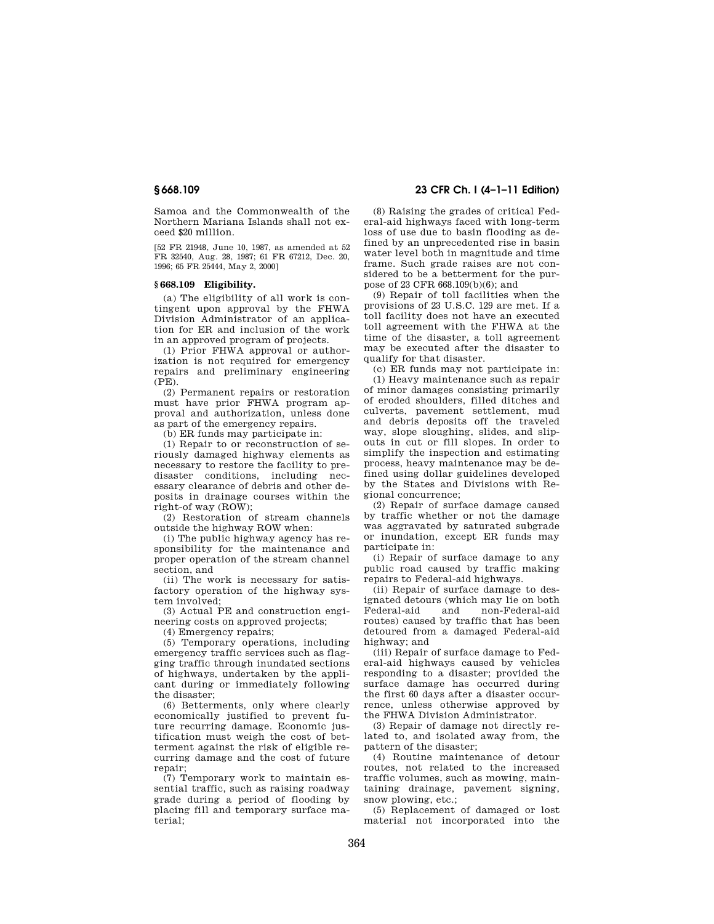Samoa and the Commonwealth of the Northern Mariana Islands shall not exceed \$20 million.

[52 FR 21948, June 10, 1987, as amended at 52 FR 32540, Aug. 28, 1987; 61 FR 67212, Dec. 20, 1996; 65 FR 25444, May 2, 2000]

# **§ 668.109 Eligibility.**

(a) The eligibility of all work is contingent upon approval by the FHWA Division Administrator of an application for ER and inclusion of the work in an approved program of projects.

(1) Prior FHWA approval or authorization is not required for emergency repairs and preliminary engineering (PE).

(2) Permanent repairs or restoration must have prior FHWA program approval and authorization, unless done as part of the emergency repairs.

(b) ER funds may participate in:

(1) Repair to or reconstruction of seriously damaged highway elements as necessary to restore the facility to predisaster conditions, including necessary clearance of debris and other deposits in drainage courses within the right-of way (ROW);

(2) Restoration of stream channels outside the highway ROW when:

(i) The public highway agency has responsibility for the maintenance and proper operation of the stream channel section, and

(ii) The work is necessary for satisfactory operation of the highway system involved;

(3) Actual PE and construction engineering costs on approved projects;

(4) Emergency repairs;

(5) Temporary operations, including emergency traffic services such as flagging traffic through inundated sections of highways, undertaken by the applicant during or immediately following the disaster;

(6) Betterments, only where clearly economically justified to prevent future recurring damage. Economic justification must weigh the cost of betterment against the risk of eligible recurring damage and the cost of future repair;

(7) Temporary work to maintain essential traffic, such as raising roadway grade during a period of flooding by placing fill and temporary surface material;

# **§ 668.109 23 CFR Ch. I (4–1–11 Edition)**

(8) Raising the grades of critical Federal-aid highways faced with long-term loss of use due to basin flooding as defined by an unprecedented rise in basin water level both in magnitude and time frame. Such grade raises are not considered to be a betterment for the purpose of 23 CFR 668.109(b)(6); and

(9) Repair of toll facilities when the provisions of 23 U.S.C. 129 are met. If a toll facility does not have an executed toll agreement with the FHWA at the time of the disaster, a toll agreement may be executed after the disaster to qualify for that disaster.

(c) ER funds may not participate in: (1) Heavy maintenance such as repair of minor damages consisting primarily of eroded shoulders, filled ditches and culverts, pavement settlement, mud and debris deposits off the traveled way, slope sloughing, slides, and slipouts in cut or fill slopes. In order to simplify the inspection and estimating process, heavy maintenance may be defined using dollar guidelines developed by the States and Divisions with Regional concurrence;

(2) Repair of surface damage caused by traffic whether or not the damage was aggravated by saturated subgrade or inundation, except ER funds may participate in:

(i) Repair of surface damage to any public road caused by traffic making repairs to Federal-aid highways.

(ii) Repair of surface damage to designated detours (which may lie on both non-Federal-aid routes) caused by traffic that has been detoured from a damaged Federal-aid highway; and

(iii) Repair of surface damage to Federal-aid highways caused by vehicles responding to a disaster; provided the surface damage has occurred during the first 60 days after a disaster occurrence, unless otherwise approved by the FHWA Division Administrator.

(3) Repair of damage not directly related to, and isolated away from, the pattern of the disaster;

(4) Routine maintenance of detour routes, not related to the increased traffic volumes, such as mowing, maintaining drainage, pavement signing, snow plowing, etc.;

(5) Replacement of damaged or lost material not incorporated into the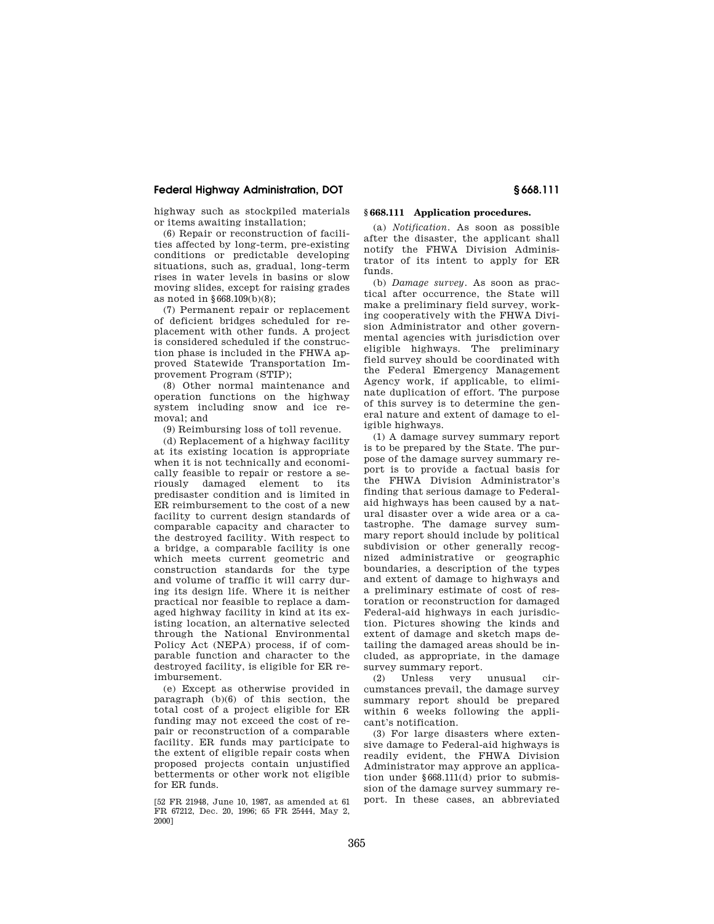# **Federal Highway Administration, DOT § 668.111**

highway such as stockpiled materials or items awaiting installation;

(6) Repair or reconstruction of facilities affected by long-term, pre-existing conditions or predictable developing situations, such as, gradual, long-term rises in water levels in basins or slow moving slides, except for raising grades as noted in §668.109(b)(8);

(7) Permanent repair or replacement of deficient bridges scheduled for replacement with other funds. A project is considered scheduled if the construction phase is included in the FHWA approved Statewide Transportation Improvement Program (STIP);

(8) Other normal maintenance and operation functions on the highway system including snow and ice removal; and

(9) Reimbursing loss of toll revenue.

(d) Replacement of a highway facility at its existing location is appropriate when it is not technically and economically feasible to repair or restore a seriously damaged element to its predisaster condition and is limited in ER reimbursement to the cost of a new facility to current design standards of comparable capacity and character to the destroyed facility. With respect to a bridge, a comparable facility is one which meets current geometric and construction standards for the type and volume of traffic it will carry during its design life. Where it is neither practical nor feasible to replace a damaged highway facility in kind at its existing location, an alternative selected through the National Environmental Policy Act (NEPA) process, if of comparable function and character to the destroyed facility, is eligible for ER reimbursement.

(e) Except as otherwise provided in paragraph (b)(6) of this section, the total cost of a project eligible for ER funding may not exceed the cost of repair or reconstruction of a comparable facility. ER funds may participate to the extent of eligible repair costs when proposed projects contain unjustified betterments or other work not eligible for ER funds.

[52 FR 21948, June 10, 1987, as amended at 61 FR 67212, Dec. 20, 1996; 65 FR 25444, May 2, 2000]

# **§ 668.111 Application procedures.**

(a) *Notification.* As soon as possible after the disaster, the applicant shall notify the FHWA Division Administrator of its intent to apply for ER funds.

(b) *Damage survey.* As soon as practical after occurrence, the State will make a preliminary field survey, working cooperatively with the FHWA Division Administrator and other governmental agencies with jurisdiction over eligible highways. The preliminary field survey should be coordinated with the Federal Emergency Management Agency work, if applicable, to eliminate duplication of effort. The purpose of this survey is to determine the general nature and extent of damage to eligible highways.

(1) A damage survey summary report is to be prepared by the State. The purpose of the damage survey summary report is to provide a factual basis for the FHWA Division Administrator's finding that serious damage to Federalaid highways has been caused by a natural disaster over a wide area or a catastrophe. The damage survey summary report should include by political subdivision or other generally recognized administrative or geographic boundaries, a description of the types and extent of damage to highways and a preliminary estimate of cost of restoration or reconstruction for damaged Federal-aid highways in each jurisdiction. Pictures showing the kinds and extent of damage and sketch maps detailing the damaged areas should be included, as appropriate, in the damage survey summary report.

(2) Unless very unusual circumstances prevail, the damage survey summary report should be prepared within 6 weeks following the applicant's notification.

(3) For large disasters where extensive damage to Federal-aid highways is readily evident, the FHWA Division Administrator may approve an application under §668.111(d) prior to submission of the damage survey summary report. In these cases, an abbreviated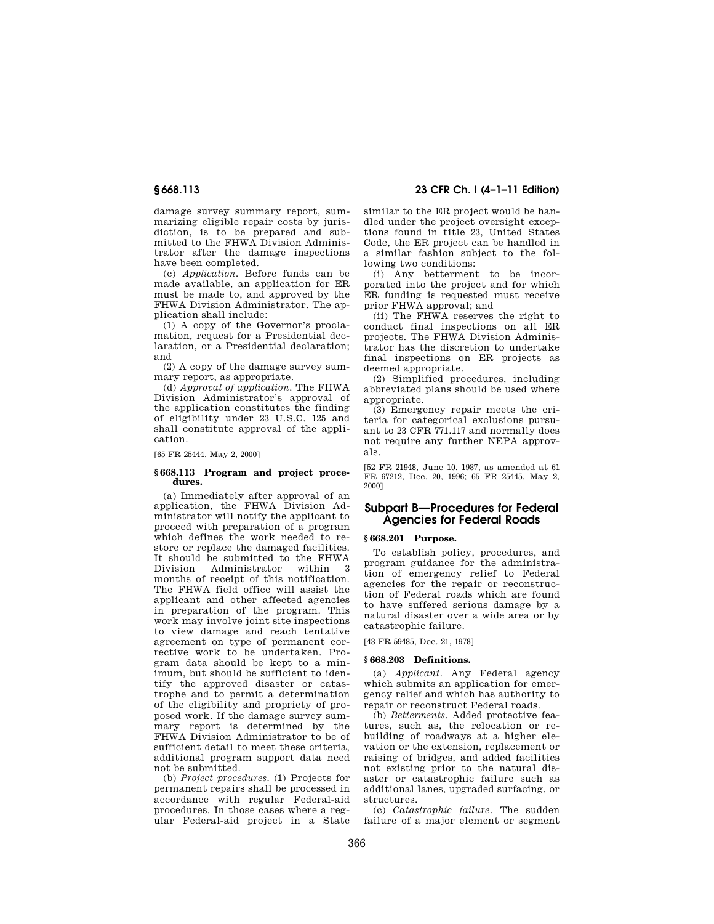damage survey summary report, summarizing eligible repair costs by jurisdiction, is to be prepared and submitted to the FHWA Division Administrator after the damage inspections have been completed.

(c) *Application.* Before funds can be made available, an application for ER must be made to, and approved by the FHWA Division Administrator. The application shall include:

(1) A copy of the Governor's proclamation, request for a Presidential declaration, or a Presidential declaration; and

(2) A copy of the damage survey summary report, as appropriate.

(d) *Approval of application.* The FHWA Division Administrator's approval of the application constitutes the finding of eligibility under 23 U.S.C. 125 and shall constitute approval of the application.

## [65 FR 25444, May 2, 2000]

## **§ 668.113 Program and project procedures.**

(a) Immediately after approval of an application, the FHWA Division Administrator will notify the applicant to proceed with preparation of a program which defines the work needed to restore or replace the damaged facilities. It should be submitted to the FHWA Division Administrator within 3 months of receipt of this notification. The FHWA field office will assist the applicant and other affected agencies in preparation of the program. This work may involve joint site inspections to view damage and reach tentative agreement on type of permanent corrective work to be undertaken. Program data should be kept to a minimum, but should be sufficient to identify the approved disaster or catastrophe and to permit a determination of the eligibility and propriety of proposed work. If the damage survey summary report is determined by the FHWA Division Administrator to be of sufficient detail to meet these criteria, additional program support data need not be submitted.

(b) *Project procedures.* (1) Projects for permanent repairs shall be processed in accordance with regular Federal-aid procedures. In those cases where a regular Federal-aid project in a State

# **§ 668.113 23 CFR Ch. I (4–1–11 Edition)**

similar to the ER project would be handled under the project oversight exceptions found in title 23, United States Code, the ER project can be handled in a similar fashion subject to the following two conditions:

(i) Any betterment to be incorporated into the project and for which ER funding is requested must receive prior FHWA approval; and

(ii) The FHWA reserves the right to conduct final inspections on all ER projects. The FHWA Division Administrator has the discretion to undertake final inspections on ER projects as deemed appropriate.

(2) Simplified procedures, including abbreviated plans should be used where appropriate.

(3) Emergency repair meets the criteria for categorical exclusions pursuant to 23 CFR 771.117 and normally does not require any further NEPA approvals.

[52 FR 21948, June 10, 1987, as amended at 61 FR 67212, Dec. 20, 1996; 65 FR 25445, May 2, 2000]

# **Subpart B—Procedures for Federal Agencies for Federal Roads**

# **§ 668.201 Purpose.**

To establish policy, procedures, and program guidance for the administration of emergency relief to Federal agencies for the repair or reconstruction of Federal roads which are found to have suffered serious damage by a natural disaster over a wide area or by catastrophic failure.

[43 FR 59485, Dec. 21, 1978]

## **§ 668.203 Definitions.**

(a) *Applicant.* Any Federal agency which submits an application for emergency relief and which has authority to repair or reconstruct Federal roads.

(b) *Betterments.* Added protective features, such as, the relocation or rebuilding of roadways at a higher elevation or the extension, replacement or raising of bridges, and added facilities not existing prior to the natural disaster or catastrophic failure such as additional lanes, upgraded surfacing, or structures.

(c) *Catastrophic failure.* The sudden failure of a major element or segment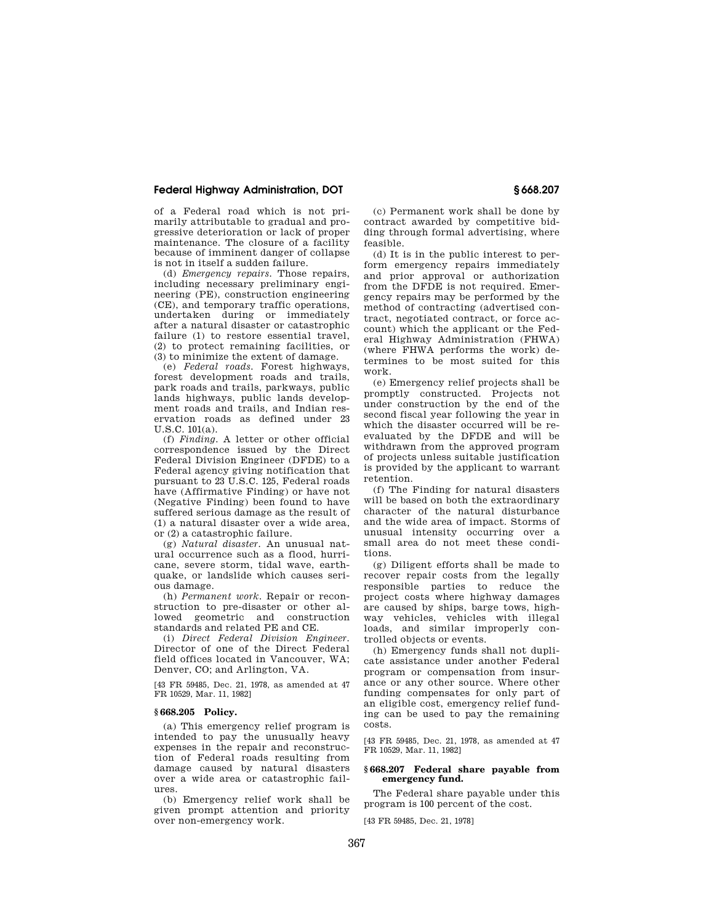# **Federal Highway Administration, DOT § 668.207**

of a Federal road which is not primarily attributable to gradual and progressive deterioration or lack of proper maintenance. The closure of a facility because of imminent danger of collapse is not in itself a sudden failure.

(d) *Emergency repairs.* Those repairs, including necessary preliminary engineering (PE), construction engineering (CE), and temporary traffic operations, undertaken during or immediately after a natural disaster or catastrophic failure (1) to restore essential travel, (2) to protect remaining facilities, or (3) to minimize the extent of damage.

(e) *Federal roads.* Forest highways, forest development roads and trails, park roads and trails, parkways, public lands highways, public lands development roads and trails, and Indian reservation roads as defined under 23  $U.S.C. 101(a)$ .

(f) *Finding.* A letter or other official correspondence issued by the Direct Federal Division Engineer (DFDE) to a Federal agency giving notification that pursuant to 23 U.S.C. 125, Federal roads have (Affirmative Finding) or have not (Negative Finding) been found to have suffered serious damage as the result of (1) a natural disaster over a wide area, or (2) a catastrophic failure.

(g) *Natural disaster.* An unusual natural occurrence such as a flood, hurricane, severe storm, tidal wave, earthquake, or landslide which causes serious damage.

(h) *Permanent work.* Repair or reconstruction to pre-disaster or other allowed geometric and construction standards and related PE and CE.

(i) *Direct Federal Division Engineer.*  Director of one of the Direct Federal field offices located in Vancouver, WA; Denver, CO; and Arlington, VA.

[43 FR 59485, Dec. 21, 1978, as amended at 47 FR 10529, Mar. 11, 1982]

### **§ 668.205 Policy.**

(a) This emergency relief program is intended to pay the unusually heavy expenses in the repair and reconstruction of Federal roads resulting from damage caused by natural disasters over a wide area or catastrophic failures.

(b) Emergency relief work shall be given prompt attention and priority over non-emergency work.

(c) Permanent work shall be done by contract awarded by competitive bidding through formal advertising, where feasible.

(d) It is in the public interest to perform emergency repairs immediately and prior approval or authorization from the DFDE is not required. Emergency repairs may be performed by the method of contracting (advertised contract, negotiated contract, or force account) which the applicant or the Federal Highway Administration (FHWA) (where FHWA performs the work) determines to be most suited for this work.

(e) Emergency relief projects shall be promptly constructed. Projects not under construction by the end of the second fiscal year following the year in which the disaster occurred will be reevaluated by the DFDE and will be withdrawn from the approved program of projects unless suitable justification is provided by the applicant to warrant retention.

(f) The Finding for natural disasters will be based on both the extraordinary character of the natural disturbance and the wide area of impact. Storms of unusual intensity occurring over a small area do not meet these conditions.

(g) Diligent efforts shall be made to recover repair costs from the legally responsible parties to reduce the project costs where highway damages are caused by ships, barge tows, highway vehicles, vehicles with illegal loads, and similar improperly controlled objects or events.

(h) Emergency funds shall not duplicate assistance under another Federal program or compensation from insurance or any other source. Where other funding compensates for only part of an eligible cost, emergency relief funding can be used to pay the remaining costs.

[43 FR 59485, Dec. 21, 1978, as amended at 47 FR 10529, Mar. 11, 1982]

### **§ 668.207 Federal share payable from emergency fund.**

The Federal share payable under this program is 100 percent of the cost.

[43 FR 59485, Dec. 21, 1978]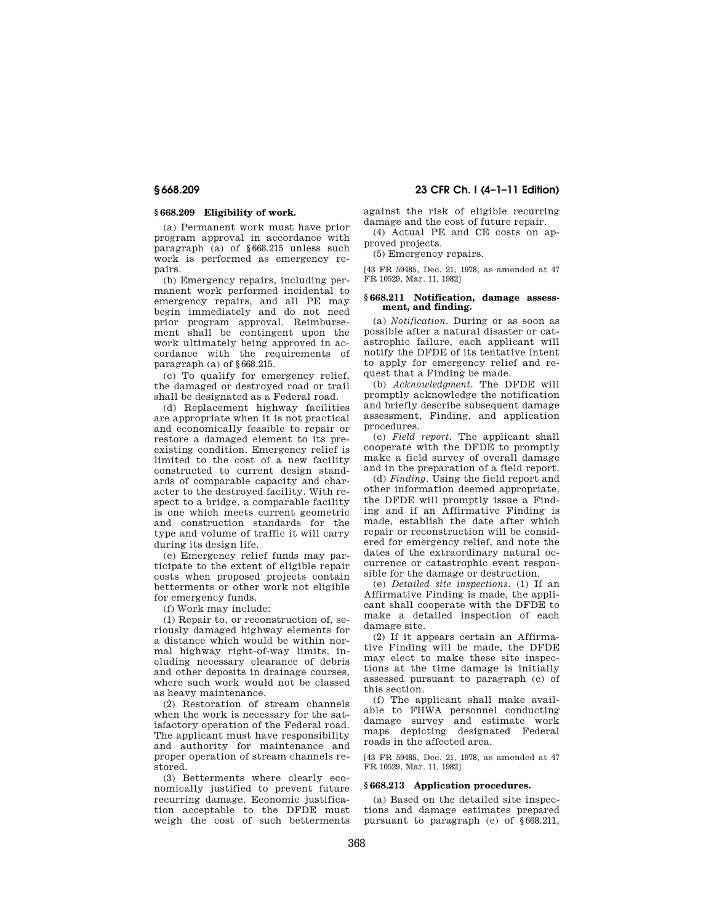# **§ 668.209 Eligibility of work.**

(a) Permanent work must have prior program approval in accordance with paragraph (a) of §668.215 unless such work is performed as emergency repairs.

(b) Emergency repairs, including permanent work performed incidental to emergency repairs, and all PE may begin immediately and do not need prior program approval. Reimbursement shall be contingent upon the work ultimately being approved in accordance with the requirements of paragraph (a) of §668.215.

(c) To qualify for emergency relief, the damaged or destroyed road or trail shall be designated as a Federal road.

(d) Replacement highway facilities are appropriate when it is not practical and economically feasible to repair or restore a damaged element to its preexisting condition. Emergency relief is limited to the cost of a new facility constructed to current design standards of comparable capacity and character to the destroyed facility. With respect to a bridge, a comparable facility is one which meets current geometric and construction standards for the type and volume of traffic it will carry during its design life.

(e) Emergency relief funds may participate to the extent of eligible repair costs when proposed projects contain betterments or other work not eligible for emergency funds.

(f) Work may include:

(1) Repair to, or reconstruction of, seriously damaged highway elements for a distance which would be within normal highway right-of-way limits, including necessary clearance of debris and other deposits in drainage courses, where such work would not be classed as heavy maintenance.

(2) Restoration of stream channels when the work is necessary for the satisfactory operation of the Federal road. The applicant must have responsibility and authority for maintenance and proper operation of stream channels restored.

(3) Betterments where clearly economically justified to prevent future recurring damage. Economic justification acceptable to the DFDE must weigh the cost of such betterments

# **§ 668.209 23 CFR Ch. I (4–1–11 Edition)**

against the risk of eligible recurring damage and the cost of future repair.

(4) Actual PE and CE costs on approved projects.

(5) Emergency repairs.

[43 FR 59485, Dec. 21, 1978, as amended at 47 FR 10529, Mar. 11, 1982]

## **§ 668.211 Notification, damage assessment, and finding.**

(a) *Notification.* During or as soon as possible after a natural disaster or catastrophic failure, each applicant will notify the DFDE of its tentative intent to apply for emergency relief and request that a Finding be made.

(b) *Acknowledgment.* The DFDE will promptly acknowledge the notification and briefly describe subsequent damage assessment, Finding, and application procedures.

(c) *Field report.* The applicant shall cooperate with the DFDE to promptly make a field survey of overall damage and in the preparation of a field report.

(d) *Finding.* Using the field report and other information deemed appropriate, the DFDE will promptly issue a Finding and if an Affirmative Finding is made, establish the date after which repair or reconstruction will be considered for emergency relief, and note the dates of the extraordinary natural occurrence or catastrophic event responsible for the damage or destruction.

(e) *Detailed site inspections.* (1) If an Affirmative Finding is made, the applicant shall cooperate with the DFDE to make a detailed inspection of each damage site.

(2) If it appears certain an Affirmative Finding will be made, the DFDE may elect to make these site inspections at the time damage is initially assessed pursuant to paragraph (c) of this section.

(f) The applicant shall make available to FHWA personnel conducting damage survey and estimate work maps depicting designated Federal roads in the affected area.

[43 FR 59485, Dec. 21, 1978, as amended at 47 FR 10529, Mar. 11, 1982]

### **§ 668.213 Application procedures.**

(a) Based on the detailed site inspections and damage estimates prepared pursuant to paragraph (e) of §668.211,